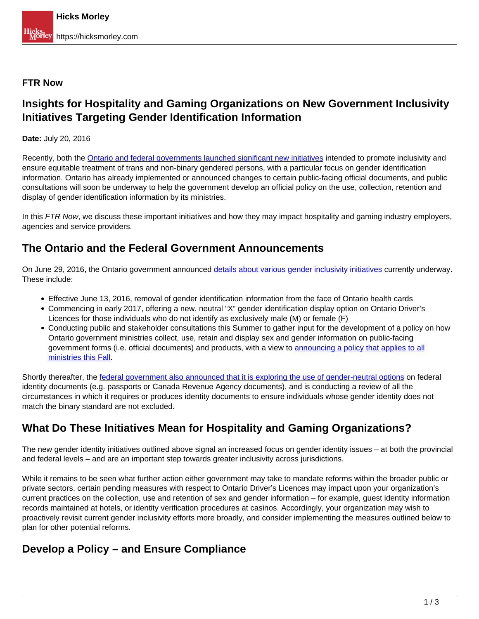#### **FTR Now**

# **Insights for Hospitality and Gaming Organizations on New Government Inclusivity Initiatives Targeting Gender Identification Information**

**Date:** July 20, 2016

Recently, both the [Ontario and federal governments launched significant new initiatives](https://hicksmorley.com/2016/07/08/ontario-federal-governments-launch-gender-inclusivity-initiatives/) intended to promote inclusivity and ensure equitable treatment of trans and non-binary gendered persons, with a particular focus on gender identification information. Ontario has already implemented or announced changes to certain public-facing official documents, and public consultations will soon be underway to help the government develop an official policy on the use, collection, retention and display of gender identification information by its ministries.

In this FTR Now, we discuss these important initiatives and how they may impact hospitality and gaming industry employers, agencies and service providers.

# **The Ontario and the Federal Government Announcements**

On June 29, 2016, the Ontario government announced details about various gender inclusivity initiatives currently underway. These include:

- Effective June 13, 2016, removal of gender identification information from the face of Ontario health cards
- Commencing in early 2017, offering a new, neutral "X" gender identification display option on Ontario Driver's Licences for those individuals who do not identify as exclusively male (M) or female (F)
- Conducting public and stakeholder consultations this Summer to gather input for the development of a policy on how Ontario government ministries collect, use, retain and display sex and gender information on public-facing government forms (i.e. official documents) and products, with a view to announcing a policy that applies to all ministries this Fall.

Shortly thereafter, the federal government also announced that it is exploring the use of gender-neutral options on federal identity documents (e.g. passports or Canada Revenue Agency documents), and is conducting a review of all the circumstances in which it requires or produces identity documents to ensure individuals whose gender identity does not match the binary standard are not excluded.

# **What Do These Initiatives Mean for Hospitality and Gaming Organizations?**

The new gender identity initiatives outlined above signal an increased focus on gender identity issues – at both the provincial and federal levels – and are an important step towards greater inclusivity across jurisdictions.

While it remains to be seen what further action either government may take to mandate reforms within the broader public or private sectors, certain pending measures with respect to Ontario Driver's Licences may impact upon your organization's current practices on the collection, use and retention of sex and gender information – for example, guest identity information records maintained at hotels, or identity verification procedures at casinos. Accordingly, your organization may wish to proactively revisit current gender inclusivity efforts more broadly, and consider implementing the measures outlined below to plan for other potential reforms.

### **Develop a Policy – and Ensure Compliance**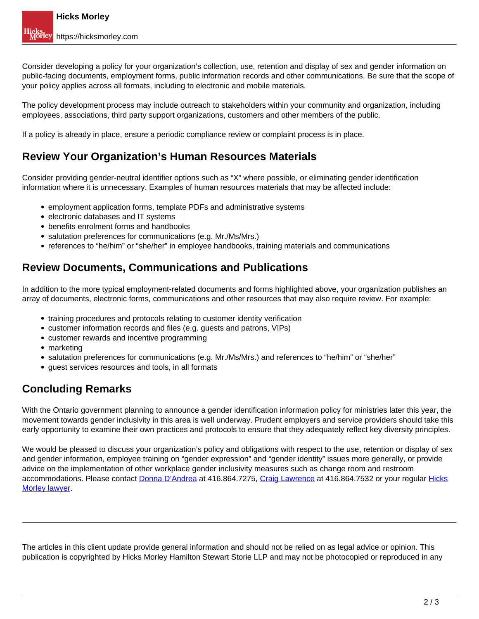Consider developing a policy for your organization's collection, use, retention and display of sex and gender information on public-facing documents, employment forms, public information records and other communications. Be sure that the scope of your policy applies across all formats, including to electronic and mobile materials.

The policy development process may include outreach to stakeholders within your community and organization, including employees, associations, third party support organizations, customers and other members of the public.

If a policy is already in place, ensure a periodic compliance review or complaint process is in place.

#### **Review Your Organization's Human Resources Materials**

Consider providing gender-neutral identifier options such as "X" where possible, or eliminating gender identification information where it is unnecessary. Examples of human resources materials that may be affected include:

- employment application forms, template PDFs and administrative systems
- electronic databases and IT systems
- benefits enrolment forms and handbooks
- salutation preferences for communications (e.g. Mr./Ms/Mrs.)
- references to "he/him" or "she/her" in employee handbooks, training materials and communications

#### **Review Documents, Communications and Publications**

In addition to the more typical employment-related documents and forms highlighted above, your organization publishes an array of documents, electronic forms, communications and other resources that may also require review. For example:

- training procedures and protocols relating to customer identity verification
- customer information records and files (e.g. guests and patrons, VIPs)
- customer rewards and incentive programming
- marketing
- salutation preferences for communications (e.g. Mr./Ms/Mrs.) and references to "he/him" or "she/her"
- quest services resources and tools, in all formats

### **Concluding Remarks**

With the Ontario government planning to announce a gender identification information policy for ministries later this year, the movement towards gender inclusivity in this area is well underway. Prudent employers and service providers should take this early opportunity to examine their own practices and protocols to ensure that they adequately reflect key diversity principles.

We would be pleased to discuss your organization's policy and obligations with respect to the use, retention or display of sex and gender information, employee training on "gender expression" and "gender identity" issues more generally, or provide advice on the implementation of other workplace gender inclusivity measures such as change room and restroom accommodations. Please contact Donna D'Andrea at 416.864.7275, Craig Lawrence at 416.864.7532 or your regular Hicks Morley lawyer.

The articles in this client update provide general information and should not be relied on as legal advice or opinion. This publication is copyrighted by Hicks Morley Hamilton Stewart Storie LLP and may not be photocopied or reproduced in any